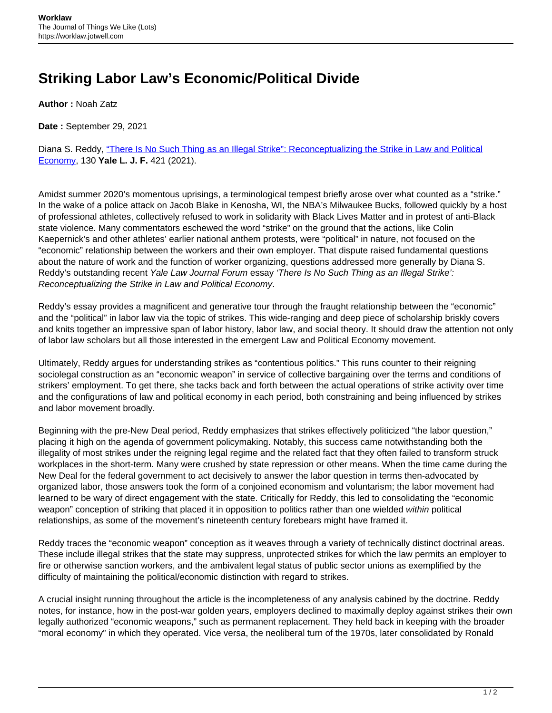## **Striking Labor Law's Economic/Political Divide**

**Author :** Noah Zatz

**Date :** September 29, 2021

Diana S. Reddy, ["There Is No Such Thing as an Illegal Strike": Reconceptualizing the Strike in Law and Political](https://www.yalelawjournal.org/pdf/ReddyEssay_w5gzu6vp.pdf) [Economy](https://www.yalelawjournal.org/pdf/ReddyEssay_w5gzu6vp.pdf), 130 **Yale L. J. F.** 421 (2021).

Amidst summer 2020's momentous uprisings, a terminological tempest briefly arose over what counted as a "strike." In the wake of a police attack on Jacob Blake in Kenosha, WI, the NBA's Milwaukee Bucks, followed quickly by a host of professional athletes, collectively refused to work in solidarity with Black Lives Matter and in protest of anti-Black state violence. Many commentators eschewed the word "strike" on the ground that the actions, like Colin Kaepernick's and other athletes' earlier national anthem protests, were "political" in nature, not focused on the "economic" relationship between the workers and their own employer. That dispute raised fundamental questions about the nature of work and the function of worker organizing, questions addressed more generally by Diana S. Reddy's outstanding recent Yale Law Journal Forum essay 'There Is No Such Thing as an Illegal Strike': Reconceptualizing the Strike in Law and Political Economy.

Reddy's essay provides a magnificent and generative tour through the fraught relationship between the "economic" and the "political" in labor law via the topic of strikes. This wide-ranging and deep piece of scholarship briskly covers and knits together an impressive span of labor history, labor law, and social theory. It should draw the attention not only of labor law scholars but all those interested in the emergent Law and Political Economy movement.

Ultimately, Reddy argues for understanding strikes as "contentious politics." This runs counter to their reigning sociolegal construction as an "economic weapon" in service of collective bargaining over the terms and conditions of strikers' employment. To get there, she tacks back and forth between the actual operations of strike activity over time and the configurations of law and political economy in each period, both constraining and being influenced by strikes and labor movement broadly.

Beginning with the pre-New Deal period, Reddy emphasizes that strikes effectively politicized "the labor question," placing it high on the agenda of government policymaking. Notably, this success came notwithstanding both the illegality of most strikes under the reigning legal regime and the related fact that they often failed to transform struck workplaces in the short-term. Many were crushed by state repression or other means. When the time came during the New Deal for the federal government to act decisively to answer the labor question in terms then-advocated by organized labor, those answers took the form of a conjoined economism and voluntarism; the labor movement had learned to be wary of direct engagement with the state. Critically for Reddy, this led to consolidating the "economic weapon" conception of striking that placed it in opposition to politics rather than one wielded within political relationships, as some of the movement's nineteenth century forebears might have framed it.

Reddy traces the "economic weapon" conception as it weaves through a variety of technically distinct doctrinal areas. These include illegal strikes that the state may suppress, unprotected strikes for which the law permits an employer to fire or otherwise sanction workers, and the ambivalent legal status of public sector unions as exemplified by the difficulty of maintaining the political/economic distinction with regard to strikes.

A crucial insight running throughout the article is the incompleteness of any analysis cabined by the doctrine. Reddy notes, for instance, how in the post-war golden years, employers declined to maximally deploy against strikes their own legally authorized "economic weapons," such as permanent replacement. They held back in keeping with the broader "moral economy" in which they operated. Vice versa, the neoliberal turn of the 1970s, later consolidated by Ronald